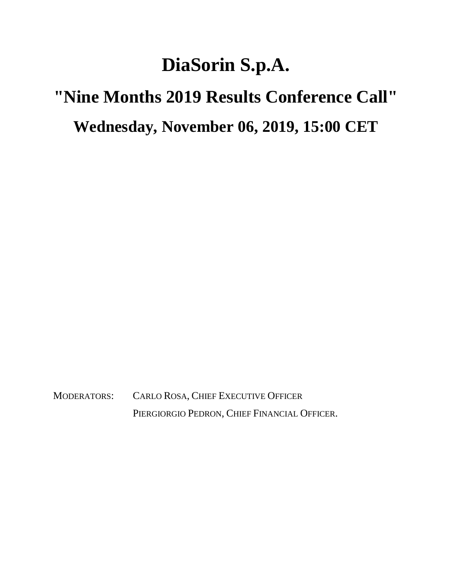## **DiaSorin S.p.A.**

## **"Nine Months 2019 Results Conference Call" Wednesday, November 06, 2019, 15:00 CET**

MODERATORS: CARLO ROSA, CHIEF EXECUTIVE OFFICER PIERGIORGIO PEDRON, CHIEF FINANCIAL OFFICER.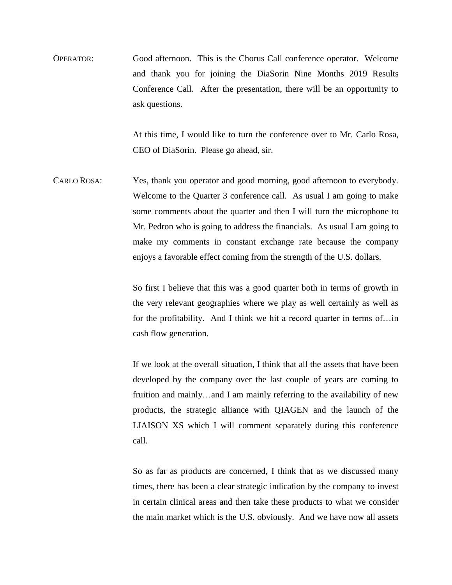OPERATOR: Good afternoon. This is the Chorus Call conference operator. Welcome and thank you for joining the DiaSorin Nine Months 2019 Results Conference Call. After the presentation, there will be an opportunity to ask questions.

> At this time, I would like to turn the conference over to Mr. Carlo Rosa, CEO of DiaSorin. Please go ahead, sir.

CARLO ROSA: Yes, thank you operator and good morning, good afternoon to everybody. Welcome to the Quarter 3 conference call. As usual I am going to make some comments about the quarter and then I will turn the microphone to Mr. Pedron who is going to address the financials. As usual I am going to make my comments in constant exchange rate because the company enjoys a favorable effect coming from the strength of the U.S. dollars.

> So first I believe that this was a good quarter both in terms of growth in the very relevant geographies where we play as well certainly as well as for the profitability. And I think we hit a record quarter in terms of…in cash flow generation.

> If we look at the overall situation, I think that all the assets that have been developed by the company over the last couple of years are coming to fruition and mainly…and I am mainly referring to the availability of new products, the strategic alliance with QIAGEN and the launch of the LIAISON XS which I will comment separately during this conference call.

> So as far as products are concerned, I think that as we discussed many times, there has been a clear strategic indication by the company to invest in certain clinical areas and then take these products to what we consider the main market which is the U.S. obviously. And we have now all assets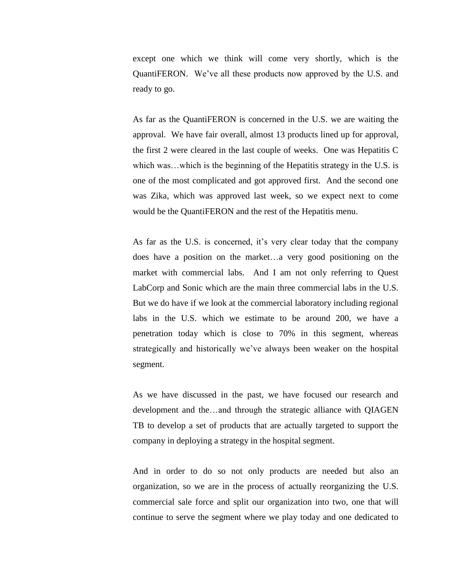except one which we think will come very shortly, which is the QuantiFERON. We've all these products now approved by the U.S. and ready to go.

As far as the QuantiFERON is concerned in the U.S. we are waiting the approval. We have fair overall, almost 13 products lined up for approval, the first 2 were cleared in the last couple of weeks. One was Hepatitis C which was...which is the beginning of the Hepatitis strategy in the U.S. is one of the most complicated and got approved first. And the second one was Zika, which was approved last week, so we expect next to come would be the QuantiFERON and the rest of the Hepatitis menu.

As far as the U.S. is concerned, it's very clear today that the company does have a position on the market…a very good positioning on the market with commercial labs. And I am not only referring to Quest LabCorp and Sonic which are the main three commercial labs in the U.S. But we do have if we look at the commercial laboratory including regional labs in the U.S. which we estimate to be around 200, we have a penetration today which is close to 70% in this segment, whereas strategically and historically we've always been weaker on the hospital segment.

As we have discussed in the past, we have focused our research and development and the…and through the strategic alliance with QIAGEN TB to develop a set of products that are actually targeted to support the company in deploying a strategy in the hospital segment.

And in order to do so not only products are needed but also an organization, so we are in the process of actually reorganizing the U.S. commercial sale force and split our organization into two, one that will continue to serve the segment where we play today and one dedicated to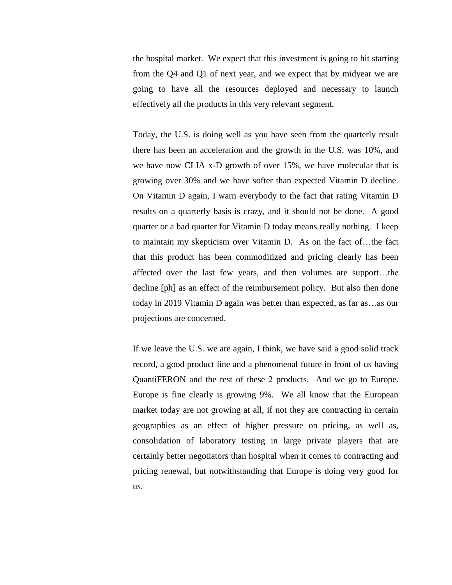the hospital market. We expect that this investment is going to hit starting from the Q4 and Q1 of next year, and we expect that by midyear we are going to have all the resources deployed and necessary to launch effectively all the products in this very relevant segment.

Today, the U.S. is doing well as you have seen from the quarterly result there has been an acceleration and the growth in the U.S. was 10%, and we have now CLIA x-D growth of over 15%, we have molecular that is growing over 30% and we have softer than expected Vitamin D decline. On Vitamin D again, I warn everybody to the fact that rating Vitamin D results on a quarterly basis is crazy, and it should not be done. A good quarter or a bad quarter for Vitamin D today means really nothing. I keep to maintain my skepticism over Vitamin D. As on the fact of…the fact that this product has been commoditized and pricing clearly has been affected over the last few years, and then volumes are support…the decline [ph] as an effect of the reimbursement policy. But also then done today in 2019 Vitamin D again was better than expected, as far as…as our projections are concerned.

If we leave the U.S. we are again, I think, we have said a good solid track record, a good product line and a phenomenal future in front of us having QuantiFERON and the rest of these 2 products. And we go to Europe. Europe is fine clearly is growing 9%. We all know that the European market today are not growing at all, if not they are contracting in certain geographies as an effect of higher pressure on pricing, as well as, consolidation of laboratory testing in large private players that are certainly better negotiators than hospital when it comes to contracting and pricing renewal, but notwithstanding that Europe is doing very good for us.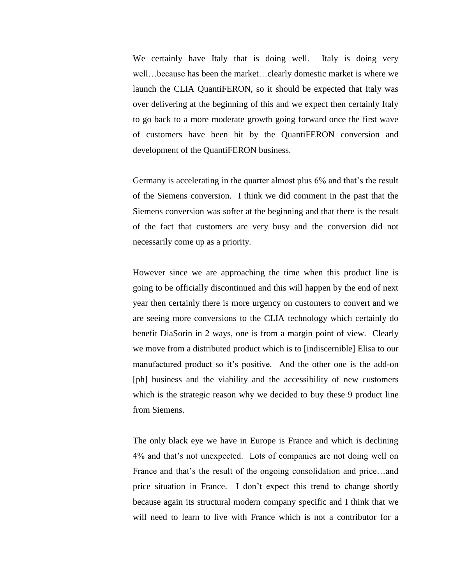We certainly have Italy that is doing well. Italy is doing very well…because has been the market…clearly domestic market is where we launch the CLIA QuantiFERON, so it should be expected that Italy was over delivering at the beginning of this and we expect then certainly Italy to go back to a more moderate growth going forward once the first wave of customers have been hit by the QuantiFERON conversion and development of the QuantiFERON business.

Germany is accelerating in the quarter almost plus 6% and that's the result of the Siemens conversion. I think we did comment in the past that the Siemens conversion was softer at the beginning and that there is the result of the fact that customers are very busy and the conversion did not necessarily come up as a priority.

However since we are approaching the time when this product line is going to be officially discontinued and this will happen by the end of next year then certainly there is more urgency on customers to convert and we are seeing more conversions to the CLIA technology which certainly do benefit DiaSorin in 2 ways, one is from a margin point of view. Clearly we move from a distributed product which is to [indiscernible] Elisa to our manufactured product so it's positive. And the other one is the add-on [ph] business and the viability and the accessibility of new customers which is the strategic reason why we decided to buy these 9 product line from Siemens.

The only black eye we have in Europe is France and which is declining 4% and that's not unexpected. Lots of companies are not doing well on France and that's the result of the ongoing consolidation and price…and price situation in France. I don't expect this trend to change shortly because again its structural modern company specific and I think that we will need to learn to live with France which is not a contributor for a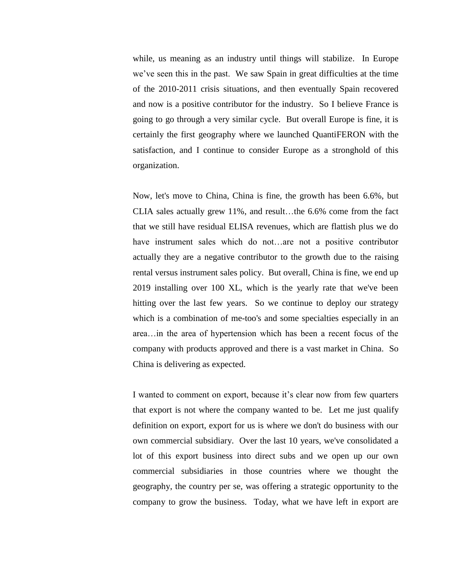while, us meaning as an industry until things will stabilize. In Europe we've seen this in the past. We saw Spain in great difficulties at the time of the 2010-2011 crisis situations, and then eventually Spain recovered and now is a positive contributor for the industry. So I believe France is going to go through a very similar cycle. But overall Europe is fine, it is certainly the first geography where we launched QuantiFERON with the satisfaction, and I continue to consider Europe as a stronghold of this organization.

Now, let's move to China, China is fine, the growth has been 6.6%, but CLIA sales actually grew 11%, and result…the 6.6% come from the fact that we still have residual ELISA revenues, which are flattish plus we do have instrument sales which do not...are not a positive contributor actually they are a negative contributor to the growth due to the raising rental versus instrument sales policy. But overall, China is fine, we end up 2019 installing over 100 XL, which is the yearly rate that we've been hitting over the last few years. So we continue to deploy our strategy which is a combination of me-too's and some specialties especially in an area…in the area of hypertension which has been a recent focus of the company with products approved and there is a vast market in China. So China is delivering as expected.

I wanted to comment on export, because it's clear now from few quarters that export is not where the company wanted to be. Let me just qualify definition on export, export for us is where we don't do business with our own commercial subsidiary. Over the last 10 years, we've consolidated a lot of this export business into direct subs and we open up our own commercial subsidiaries in those countries where we thought the geography, the country per se, was offering a strategic opportunity to the company to grow the business. Today, what we have left in export are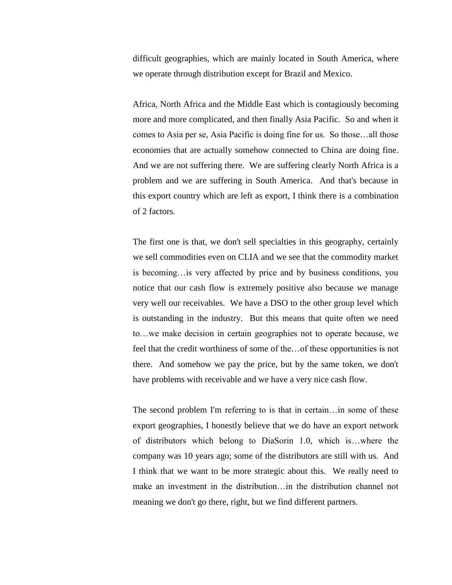difficult geographies, which are mainly located in South America, where we operate through distribution except for Brazil and Mexico.

Africa, North Africa and the Middle East which is contagiously becoming more and more complicated, and then finally Asia Pacific. So and when it comes to Asia per se, Asia Pacific is doing fine for us. So those…all those economies that are actually somehow connected to China are doing fine. And we are not suffering there. We are suffering clearly North Africa is a problem and we are suffering in South America. And that's because in this export country which are left as export, I think there is a combination of 2 factors.

The first one is that, we don't sell specialties in this geography, certainly we sell commodities even on CLIA and we see that the commodity market is becoming…is very affected by price and by business conditions, you notice that our cash flow is extremely positive also because we manage very well our receivables. We have a DSO to the other group level which is outstanding in the industry. But this means that quite often we need to…we make decision in certain geographies not to operate because, we feel that the credit worthiness of some of the…of these opportunities is not there. And somehow we pay the price, but by the same token, we don't have problems with receivable and we have a very nice cash flow.

The second problem I'm referring to is that in certain…in some of these export geographies, I honestly believe that we do have an export network of distributors which belong to DiaSorin 1.0, which is…where the company was 10 years ago; some of the distributors are still with us. And I think that we want to be more strategic about this. We really need to make an investment in the distribution…in the distribution channel not meaning we don't go there, right, but we find different partners.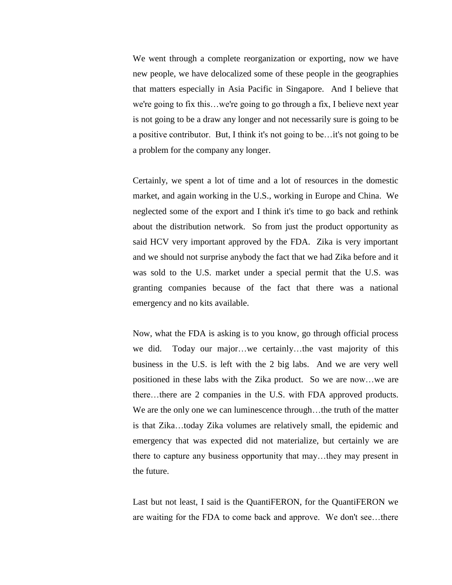We went through a complete reorganization or exporting, now we have new people, we have delocalized some of these people in the geographies that matters especially in Asia Pacific in Singapore. And I believe that we're going to fix this…we're going to go through a fix, I believe next year is not going to be a draw any longer and not necessarily sure is going to be a positive contributor. But, I think it's not going to be…it's not going to be a problem for the company any longer.

Certainly, we spent a lot of time and a lot of resources in the domestic market, and again working in the U.S., working in Europe and China. We neglected some of the export and I think it's time to go back and rethink about the distribution network. So from just the product opportunity as said HCV very important approved by the FDA. Zika is very important and we should not surprise anybody the fact that we had Zika before and it was sold to the U.S. market under a special permit that the U.S. was granting companies because of the fact that there was a national emergency and no kits available.

Now, what the FDA is asking is to you know, go through official process we did. Today our major…we certainly…the vast majority of this business in the U.S. is left with the 2 big labs. And we are very well positioned in these labs with the Zika product. So we are now…we are there…there are 2 companies in the U.S. with FDA approved products. We are the only one we can luminescence through...the truth of the matter is that Zika…today Zika volumes are relatively small, the epidemic and emergency that was expected did not materialize, but certainly we are there to capture any business opportunity that may…they may present in the future.

Last but not least, I said is the QuantiFERON, for the QuantiFERON we are waiting for the FDA to come back and approve. We don't see…there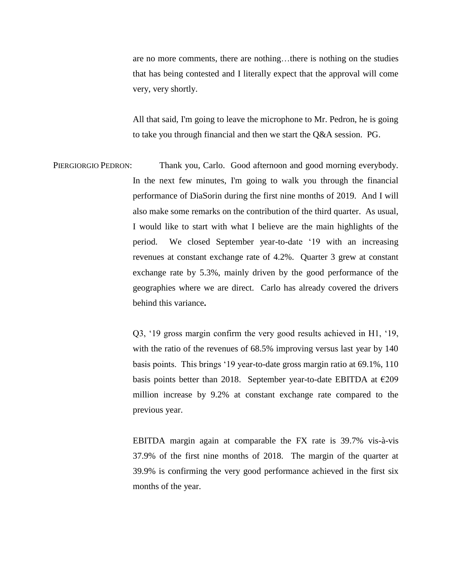are no more comments, there are nothing…there is nothing on the studies that has being contested and I literally expect that the approval will come very, very shortly.

All that said, I'm going to leave the microphone to Mr. Pedron, he is going to take you through financial and then we start the Q&A session. PG.

PIERGIORGIO PEDRON: Thank you, Carlo. Good afternoon and good morning everybody. In the next few minutes, I'm going to walk you through the financial performance of DiaSorin during the first nine months of 2019. And I will also make some remarks on the contribution of the third quarter. As usual, I would like to start with what I believe are the main highlights of the period. We closed September year-to-date '19 with an increasing revenues at constant exchange rate of 4.2%. Quarter 3 grew at constant exchange rate by 5.3%, mainly driven by the good performance of the geographies where we are direct. Carlo has already covered the drivers behind this variance**.**

> Q3, '19 gross margin confirm the very good results achieved in H1, '19, with the ratio of the revenues of 68.5% improving versus last year by 140 basis points. This brings '19 year-to-date gross margin ratio at 69.1%, 110 basis points better than 2018. September year-to-date EBITDA at  $\epsilon$ 209 million increase by 9.2% at constant exchange rate compared to the previous year.

> EBITDA margin again at comparable the FX rate is 39.7% vis-à-vis 37.9% of the first nine months of 2018. The margin of the quarter at 39.9% is confirming the very good performance achieved in the first six months of the year.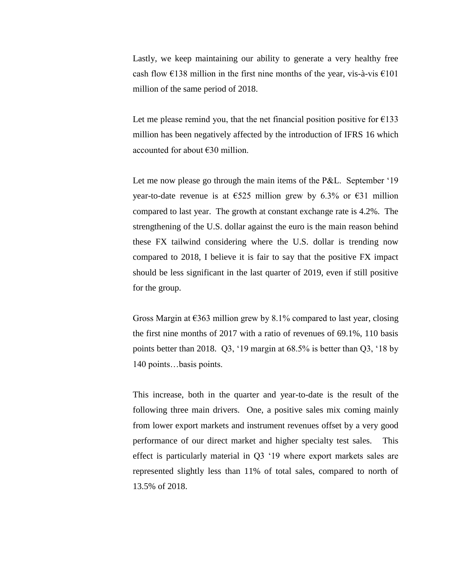Lastly, we keep maintaining our ability to generate a very healthy free cash flow  $\epsilon$ 138 million in the first nine months of the year, vis-à-vis  $\epsilon$ 101 million of the same period of 2018.

Let me please remind you, that the net financial position positive for  $\epsilon$ 133 million has been negatively affected by the introduction of IFRS 16 which accounted for about €30 million.

Let me now please go through the main items of the P&L. September '19 year-to-date revenue is at  $\epsilon$ 525 million grew by 6.3% or  $\epsilon$ 31 million compared to last year. The growth at constant exchange rate is 4.2%. The strengthening of the U.S. dollar against the euro is the main reason behind these FX tailwind considering where the U.S. dollar is trending now compared to 2018, I believe it is fair to say that the positive FX impact should be less significant in the last quarter of 2019, even if still positive for the group.

Gross Margin at  $\epsilon$ 363 million grew by 8.1% compared to last year, closing the first nine months of 2017 with a ratio of revenues of 69.1%, 110 basis points better than 2018. Q3, '19 margin at 68.5% is better than Q3, '18 by 140 points…basis points.

This increase, both in the quarter and year-to-date is the result of the following three main drivers. One, a positive sales mix coming mainly from lower export markets and instrument revenues offset by a very good performance of our direct market and higher specialty test sales. This effect is particularly material in Q3 '19 where export markets sales are represented slightly less than 11% of total sales, compared to north of 13.5% of 2018.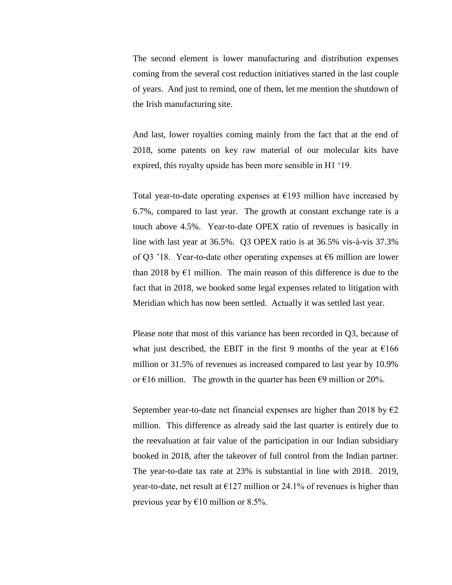The second element is lower manufacturing and distribution expenses coming from the several cost reduction initiatives started in the last couple of years. And just to remind, one of them, let me mention the shutdown of the Irish manufacturing site.

And last, lower royalties coming mainly from the fact that at the end of 2018, some patents on key raw material of our molecular kits have expired, this royalty upside has been more sensible in H1 '19.

Total year-to-date operating expenses at  $E193$  million have increased by 6.7%, compared to last year. The growth at constant exchange rate is a touch above 4.5%. Year-to-date OPEX ratio of revenues is basically in line with last year at 36.5%. Q3 OPEX ratio is at 36.5% vis-à-vis 37.3% of Q3 '18. Year-to-date other operating expenses at  $\epsilon$ 6 million are lower than 2018 by  $E1$  million. The main reason of this difference is due to the fact that in 2018, we booked some legal expenses related to litigation with Meridian which has now been settled. Actually it was settled last year.

Please note that most of this variance has been recorded in Q3, because of what just described, the EBIT in the first 9 months of the year at  $\epsilon$ 166 million or 31.5% of revenues as increased compared to last year by 10.9% or  $\epsilon$ 16 million. The growth in the quarter has been  $\epsilon$ 9 million or 20%.

September year-to-date net financial expenses are higher than 2018 by  $\epsilon$ 2 million. This difference as already said the last quarter is entirely due to the reevaluation at fair value of the participation in our Indian subsidiary booked in 2018, after the takeover of full control from the Indian partner. The year-to-date tax rate at 23% is substantial in line with 2018. 2019, year-to-date, net result at  $E127$  million or 24.1% of revenues is higher than previous year by  $€10$  million or 8.5%.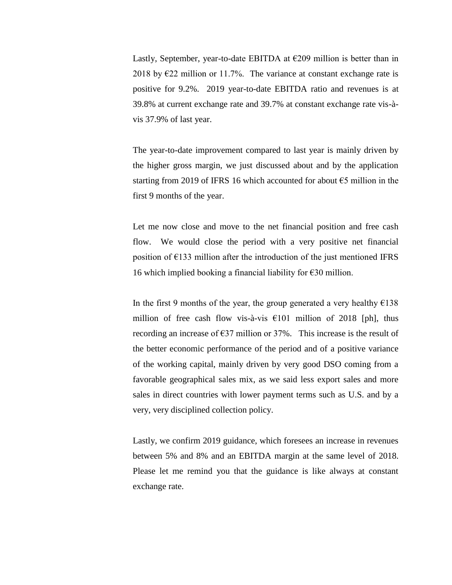Lastly, September, year-to-date EBITDA at  $E209$  million is better than in 2018 by  $\epsilon$ 22 million or 11.7%. The variance at constant exchange rate is positive for 9.2%. 2019 year-to-date EBITDA ratio and revenues is at 39.8% at current exchange rate and 39.7% at constant exchange rate vis-àvis 37.9% of last year.

The year-to-date improvement compared to last year is mainly driven by the higher gross margin, we just discussed about and by the application starting from 2019 of IFRS 16 which accounted for about  $\epsilon$ 5 million in the first 9 months of the year.

Let me now close and move to the net financial position and free cash flow. We would close the period with a very positive net financial position of  $E133$  million after the introduction of the just mentioned IFRS 16 which implied booking a financial liability for  $\epsilon$ 30 million.

In the first 9 months of the year, the group generated a very healthy  $£138$ million of free cash flow vis-à-vis  $\epsilon$ 101 million of 2018 [ph], thus recording an increase of  $\epsilon$ 37 million or 37%. This increase is the result of the better economic performance of the period and of a positive variance of the working capital, mainly driven by very good DSO coming from a favorable geographical sales mix, as we said less export sales and more sales in direct countries with lower payment terms such as U.S. and by a very, very disciplined collection policy.

Lastly, we confirm 2019 guidance, which foresees an increase in revenues between 5% and 8% and an EBITDA margin at the same level of 2018. Please let me remind you that the guidance is like always at constant exchange rate.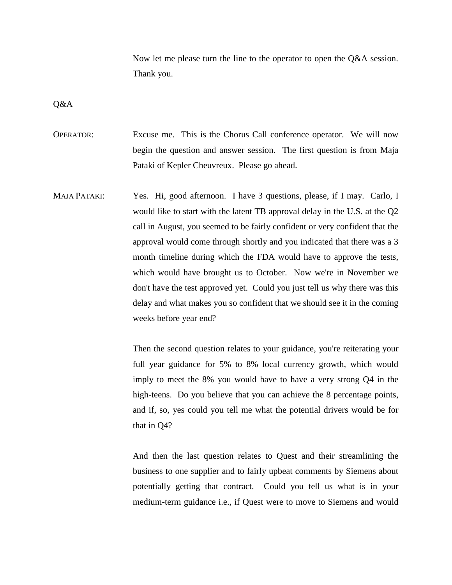Now let me please turn the line to the operator to open the Q&A session. Thank you.

Q&A

OPERATOR: Excuse me. This is the Chorus Call conference operator. We will now begin the question and answer session. The first question is from Maja Pataki of Kepler Cheuvreux. Please go ahead.

MAJA PATAKI: Yes. Hi, good afternoon. I have 3 questions, please, if I may. Carlo, I would like to start with the latent TB approval delay in the U.S. at the Q2 call in August, you seemed to be fairly confident or very confident that the approval would come through shortly and you indicated that there was a 3 month timeline during which the FDA would have to approve the tests, which would have brought us to October. Now we're in November we don't have the test approved yet. Could you just tell us why there was this delay and what makes you so confident that we should see it in the coming weeks before year end?

> Then the second question relates to your guidance, you're reiterating your full year guidance for 5% to 8% local currency growth, which would imply to meet the 8% you would have to have a very strong Q4 in the high-teens. Do you believe that you can achieve the 8 percentage points, and if, so, yes could you tell me what the potential drivers would be for that in Q4?

> And then the last question relates to Quest and their streamlining the business to one supplier and to fairly upbeat comments by Siemens about potentially getting that contract. Could you tell us what is in your medium-term guidance i.e., if Quest were to move to Siemens and would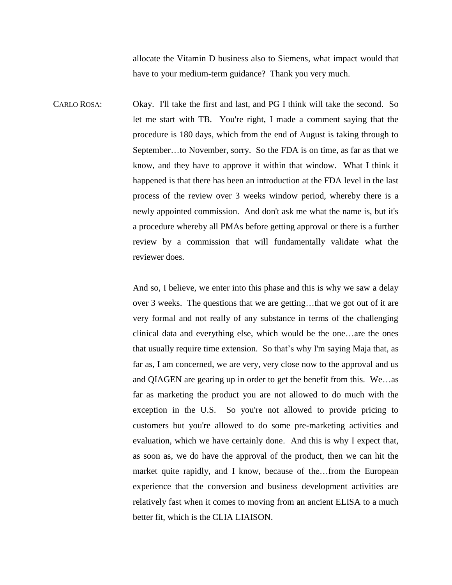allocate the Vitamin D business also to Siemens, what impact would that have to your medium-term guidance? Thank you very much.

CARLO ROSA: Okay. I'll take the first and last, and PG I think will take the second. So let me start with TB. You're right, I made a comment saying that the procedure is 180 days, which from the end of August is taking through to September…to November, sorry. So the FDA is on time, as far as that we know, and they have to approve it within that window. What I think it happened is that there has been an introduction at the FDA level in the last process of the review over 3 weeks window period, whereby there is a newly appointed commission. And don't ask me what the name is, but it's a procedure whereby all PMAs before getting approval or there is a further review by a commission that will fundamentally validate what the reviewer does.

> And so, I believe, we enter into this phase and this is why we saw a delay over 3 weeks. The questions that we are getting…that we got out of it are very formal and not really of any substance in terms of the challenging clinical data and everything else, which would be the one…are the ones that usually require time extension. So that's why I'm saying Maja that, as far as, I am concerned, we are very, very close now to the approval and us and QIAGEN are gearing up in order to get the benefit from this. We…as far as marketing the product you are not allowed to do much with the exception in the U.S. So you're not allowed to provide pricing to customers but you're allowed to do some pre-marketing activities and evaluation, which we have certainly done. And this is why I expect that, as soon as, we do have the approval of the product, then we can hit the market quite rapidly, and I know, because of the…from the European experience that the conversion and business development activities are relatively fast when it comes to moving from an ancient ELISA to a much better fit, which is the CLIA LIAISON.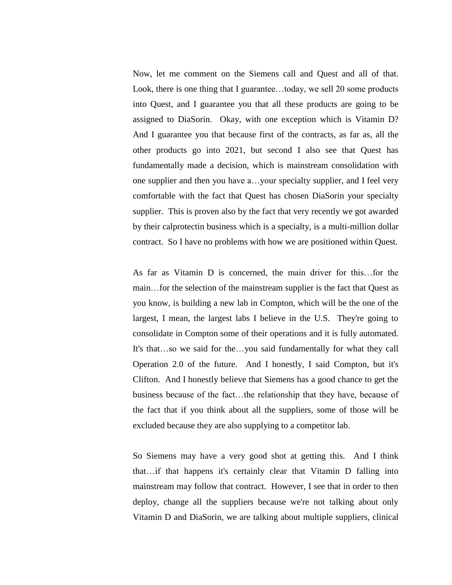Now, let me comment on the Siemens call and Quest and all of that. Look, there is one thing that I guarantee…today, we sell 20 some products into Quest, and I guarantee you that all these products are going to be assigned to DiaSorin. Okay, with one exception which is Vitamin D? And I guarantee you that because first of the contracts, as far as, all the other products go into 2021, but second I also see that Quest has fundamentally made a decision, which is mainstream consolidation with one supplier and then you have a…your specialty supplier, and I feel very comfortable with the fact that Quest has chosen DiaSorin your specialty supplier. This is proven also by the fact that very recently we got awarded by their calprotectin business which is a specialty, is a multi-million dollar contract. So I have no problems with how we are positioned within Quest.

As far as Vitamin D is concerned, the main driver for this…for the main…for the selection of the mainstream supplier is the fact that Quest as you know, is building a new lab in Compton, which will be the one of the largest, I mean, the largest labs I believe in the U.S. They're going to consolidate in Compton some of their operations and it is fully automated. It's that…so we said for the…you said fundamentally for what they call Operation 2.0 of the future. And I honestly, I said Compton, but it's Clifton. And I honestly believe that Siemens has a good chance to get the business because of the fact…the relationship that they have, because of the fact that if you think about all the suppliers, some of those will be excluded because they are also supplying to a competitor lab.

So Siemens may have a very good shot at getting this. And I think that…if that happens it's certainly clear that Vitamin D falling into mainstream may follow that contract. However, I see that in order to then deploy, change all the suppliers because we're not talking about only Vitamin D and DiaSorin, we are talking about multiple suppliers, clinical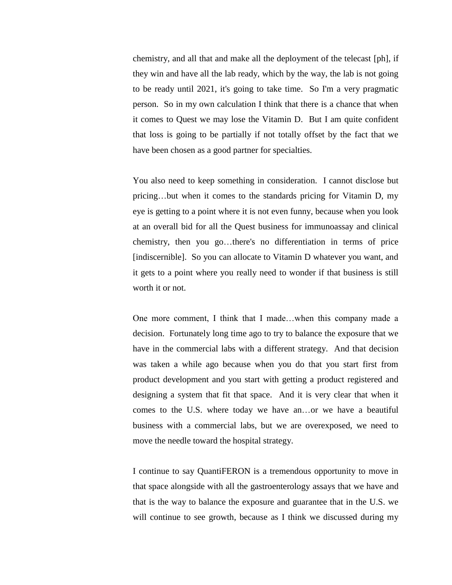chemistry, and all that and make all the deployment of the telecast [ph], if they win and have all the lab ready, which by the way, the lab is not going to be ready until 2021, it's going to take time. So I'm a very pragmatic person. So in my own calculation I think that there is a chance that when it comes to Quest we may lose the Vitamin D. But I am quite confident that loss is going to be partially if not totally offset by the fact that we have been chosen as a good partner for specialties.

You also need to keep something in consideration. I cannot disclose but pricing…but when it comes to the standards pricing for Vitamin D, my eye is getting to a point where it is not even funny, because when you look at an overall bid for all the Quest business for immunoassay and clinical chemistry, then you go…there's no differentiation in terms of price [indiscernible]. So you can allocate to Vitamin D whatever you want, and it gets to a point where you really need to wonder if that business is still worth it or not.

One more comment, I think that I made…when this company made a decision. Fortunately long time ago to try to balance the exposure that we have in the commercial labs with a different strategy. And that decision was taken a while ago because when you do that you start first from product development and you start with getting a product registered and designing a system that fit that space. And it is very clear that when it comes to the U.S. where today we have an…or we have a beautiful business with a commercial labs, but we are overexposed, we need to move the needle toward the hospital strategy.

I continue to say QuantiFERON is a tremendous opportunity to move in that space alongside with all the gastroenterology assays that we have and that is the way to balance the exposure and guarantee that in the U.S. we will continue to see growth, because as I think we discussed during my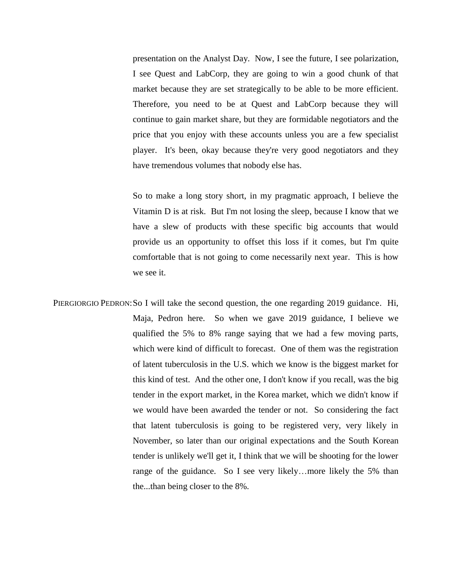presentation on the Analyst Day. Now, I see the future, I see polarization, I see Quest and LabCorp, they are going to win a good chunk of that market because they are set strategically to be able to be more efficient. Therefore, you need to be at Quest and LabCorp because they will continue to gain market share, but they are formidable negotiators and the price that you enjoy with these accounts unless you are a few specialist player. It's been, okay because they're very good negotiators and they have tremendous volumes that nobody else has.

So to make a long story short, in my pragmatic approach, I believe the Vitamin D is at risk. But I'm not losing the sleep, because I know that we have a slew of products with these specific big accounts that would provide us an opportunity to offset this loss if it comes, but I'm quite comfortable that is not going to come necessarily next year. This is how we see it.

PIERGIORGIO PEDRON: So I will take the second question, the one regarding 2019 guidance. Hi, Maja, Pedron here. So when we gave 2019 guidance, I believe we qualified the 5% to 8% range saying that we had a few moving parts, which were kind of difficult to forecast. One of them was the registration of latent tuberculosis in the U.S. which we know is the biggest market for this kind of test. And the other one, I don't know if you recall, was the big tender in the export market, in the Korea market, which we didn't know if we would have been awarded the tender or not. So considering the fact that latent tuberculosis is going to be registered very, very likely in November, so later than our original expectations and the South Korean tender is unlikely we'll get it, I think that we will be shooting for the lower range of the guidance. So I see very likely…more likely the 5% than the...than being closer to the 8%.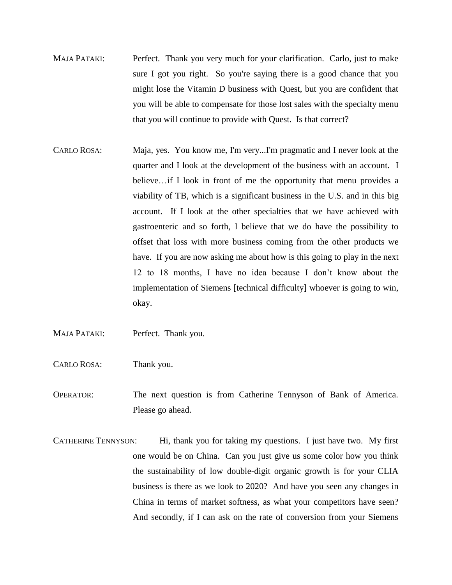- MAJA PATAKI: Perfect. Thank you very much for your clarification. Carlo, just to make sure I got you right. So you're saying there is a good chance that you might lose the Vitamin D business with Quest, but you are confident that you will be able to compensate for those lost sales with the specialty menu that you will continue to provide with Quest. Is that correct?
- CARLO ROSA: Maja, yes. You know me, I'm very...I'm pragmatic and I never look at the quarter and I look at the development of the business with an account. I believe…if I look in front of me the opportunity that menu provides a viability of TB, which is a significant business in the U.S. and in this big account. If I look at the other specialties that we have achieved with gastroenteric and so forth, I believe that we do have the possibility to offset that loss with more business coming from the other products we have. If you are now asking me about how is this going to play in the next 12 to 18 months, I have no idea because I don't know about the implementation of Siemens [technical difficulty] whoever is going to win, okay.
- MAJA PATAKI: Perfect. Thank you.
- CARLO ROSA: Thank you.
- OPERATOR: The next question is from Catherine Tennyson of Bank of America. Please go ahead.
- CATHERINE TENNYSON: Hi, thank you for taking my questions. I just have two. My first one would be on China. Can you just give us some color how you think the sustainability of low double-digit organic growth is for your CLIA business is there as we look to 2020? And have you seen any changes in China in terms of market softness, as what your competitors have seen? And secondly, if I can ask on the rate of conversion from your Siemens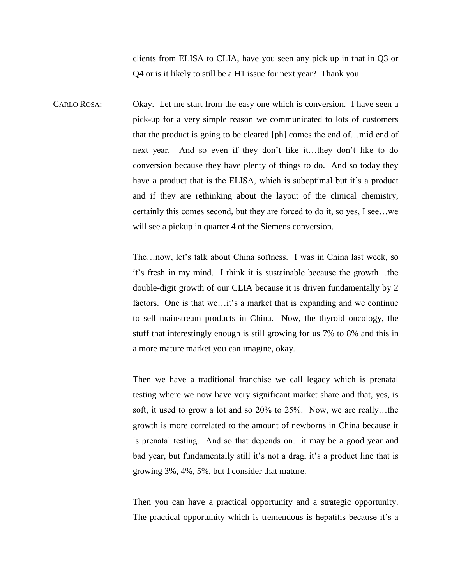clients from ELISA to CLIA, have you seen any pick up in that in Q3 or Q4 or is it likely to still be a H1 issue for next year? Thank you.

CARLO ROSA: Okay. Let me start from the easy one which is conversion. I have seen a pick-up for a very simple reason we communicated to lots of customers that the product is going to be cleared [ph] comes the end of…mid end of next year. And so even if they don't like it…they don't like to do conversion because they have plenty of things to do. And so today they have a product that is the ELISA, which is suboptimal but it's a product and if they are rethinking about the layout of the clinical chemistry, certainly this comes second, but they are forced to do it, so yes, I see…we will see a pickup in quarter 4 of the Siemens conversion.

> The…now, let's talk about China softness. I was in China last week, so it's fresh in my mind. I think it is sustainable because the growth…the double-digit growth of our CLIA because it is driven fundamentally by 2 factors. One is that we...it's a market that is expanding and we continue to sell mainstream products in China. Now, the thyroid oncology, the stuff that interestingly enough is still growing for us 7% to 8% and this in a more mature market you can imagine, okay.

> Then we have a traditional franchise we call legacy which is prenatal testing where we now have very significant market share and that, yes, is soft, it used to grow a lot and so 20% to 25%. Now, we are really…the growth is more correlated to the amount of newborns in China because it is prenatal testing. And so that depends on…it may be a good year and bad year, but fundamentally still it's not a drag, it's a product line that is growing 3%, 4%, 5%, but I consider that mature.

> Then you can have a practical opportunity and a strategic opportunity. The practical opportunity which is tremendous is hepatitis because it's a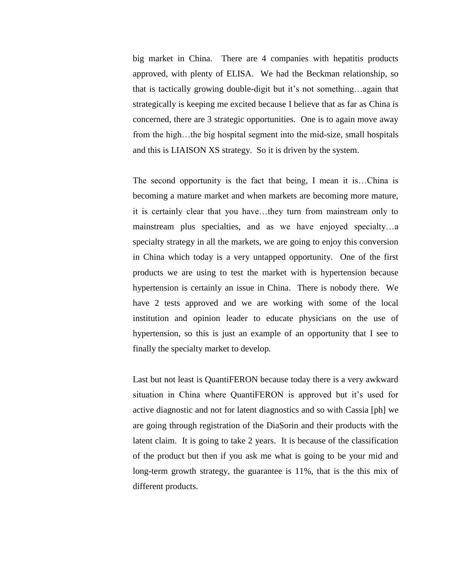big market in China. There are 4 companies with hepatitis products approved, with plenty of ELISA. We had the Beckman relationship, so that is tactically growing double-digit but it's not something…again that strategically is keeping me excited because I believe that as far as China is concerned, there are 3 strategic opportunities. One is to again move away from the high…the big hospital segment into the mid-size, small hospitals and this is LIAISON XS strategy. So it is driven by the system.

The second opportunity is the fact that being, I mean it is…China is becoming a mature market and when markets are becoming more mature, it is certainly clear that you have…they turn from mainstream only to mainstream plus specialties, and as we have enjoyed specialty…a specialty strategy in all the markets, we are going to enjoy this conversion in China which today is a very untapped opportunity. One of the first products we are using to test the market with is hypertension because hypertension is certainly an issue in China. There is nobody there. We have 2 tests approved and we are working with some of the local institution and opinion leader to educate physicians on the use of hypertension, so this is just an example of an opportunity that I see to finally the specialty market to develop.

Last but not least is QuantiFERON because today there is a very awkward situation in China where QuantiFERON is approved but it's used for active diagnostic and not for latent diagnostics and so with Cassia [ph] we are going through registration of the DiaSorin and their products with the latent claim. It is going to take 2 years. It is because of the classification of the product but then if you ask me what is going to be your mid and long-term growth strategy, the guarantee is 11%, that is the this mix of different products.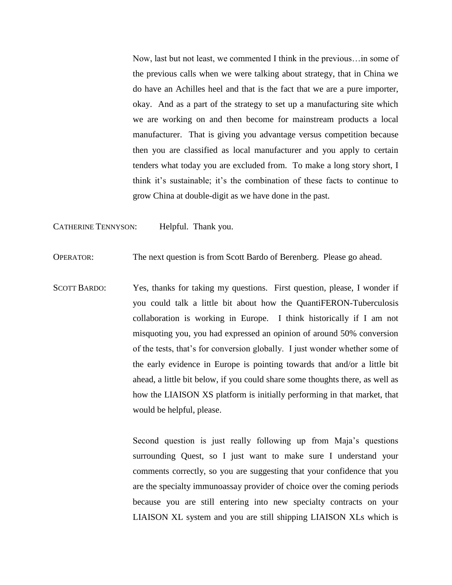Now, last but not least, we commented I think in the previous…in some of the previous calls when we were talking about strategy, that in China we do have an Achilles heel and that is the fact that we are a pure importer, okay. And as a part of the strategy to set up a manufacturing site which we are working on and then become for mainstream products a local manufacturer. That is giving you advantage versus competition because then you are classified as local manufacturer and you apply to certain tenders what today you are excluded from. To make a long story short, I think it's sustainable; it's the combination of these facts to continue to grow China at double-digit as we have done in the past.

CATHERINE TENNYSON: Helpful. Thank you.

OPERATOR: The next question is from Scott Bardo of Berenberg. Please go ahead.

SCOTT BARDO: Yes, thanks for taking my questions. First question, please, I wonder if you could talk a little bit about how the QuantiFERON-Tuberculosis collaboration is working in Europe. I think historically if I am not misquoting you, you had expressed an opinion of around 50% conversion of the tests, that's for conversion globally. I just wonder whether some of the early evidence in Europe is pointing towards that and/or a little bit ahead, a little bit below, if you could share some thoughts there, as well as how the LIAISON XS platform is initially performing in that market, that would be helpful, please.

> Second question is just really following up from Maja's questions surrounding Quest, so I just want to make sure I understand your comments correctly, so you are suggesting that your confidence that you are the specialty immunoassay provider of choice over the coming periods because you are still entering into new specialty contracts on your LIAISON XL system and you are still shipping LIAISON XLs which is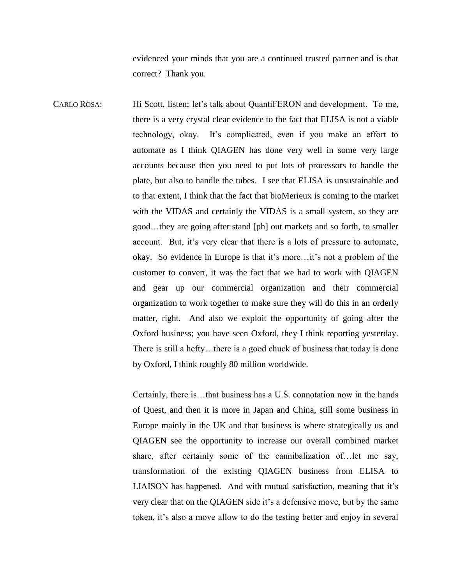evidenced your minds that you are a continued trusted partner and is that correct? Thank you.

CARLO ROSA: Hi Scott, listen; let's talk about QuantiFERON and development. To me, there is a very crystal clear evidence to the fact that ELISA is not a viable technology, okay. It's complicated, even if you make an effort to automate as I think QIAGEN has done very well in some very large accounts because then you need to put lots of processors to handle the plate, but also to handle the tubes.I see that ELISA is unsustainable and to that extent, I think that the fact that bioMerieux is coming to the market with the VIDAS and certainly the VIDAS is a small system, so they are good…they are going after stand [ph] out markets and so forth, to smaller account. But, it's very clear that there is a lots of pressure to automate, okay. So evidence in Europe is that it's more…it's not a problem of the customer to convert, it was the fact that we had to work with QIAGEN and gear up our commercial organization and their commercial organization to work together to make sure they will do this in an orderly matter, right. And also we exploit the opportunity of going after the Oxford business; you have seen Oxford, they I think reporting yesterday. There is still a hefty…there is a good chuck of business that today is done by Oxford, I think roughly 80 million worldwide.

> Certainly, there is…that business has a U.S. connotation now in the hands of Quest, and then it is more in Japan and China, still some business in Europe mainly in the UK and that business is where strategically us and QIAGEN see the opportunity to increase our overall combined market share, after certainly some of the cannibalization of…let me say, transformation of the existing QIAGEN business from ELISA to LIAISON has happened. And with mutual satisfaction, meaning that it's very clear that on the QIAGEN side it's a defensive move, but by the same token, it's also a move allow to do the testing better and enjoy in several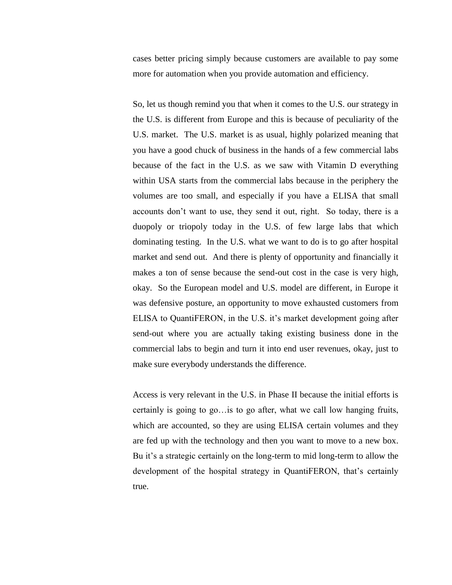cases better pricing simply because customers are available to pay some more for automation when you provide automation and efficiency.

So, let us though remind you that when it comes to the U.S. our strategy in the U.S. is different from Europe and this is because of peculiarity of the U.S. market. The U.S. market is as usual, highly polarized meaning that you have a good chuck of business in the hands of a few commercial labs because of the fact in the U.S. as we saw with Vitamin D everything within USA starts from the commercial labs because in the periphery the volumes are too small, and especially if you have a ELISA that small accounts don't want to use, they send it out, right. So today, there is a duopoly or triopoly today in the U.S. of few large labs that which dominating testing. In the U.S. what we want to do is to go after hospital market and send out. And there is plenty of opportunity and financially it makes a ton of sense because the send-out cost in the case is very high, okay. So the European model and U.S. model are different, in Europe it was defensive posture, an opportunity to move exhausted customers from ELISA to QuantiFERON, in the U.S. it's market development going after send-out where you are actually taking existing business done in the commercial labs to begin and turn it into end user revenues, okay, just to make sure everybody understands the difference.

Access is very relevant in the U.S. in Phase II because the initial efforts is certainly is going to go…is to go after, what we call low hanging fruits, which are accounted, so they are using ELISA certain volumes and they are fed up with the technology and then you want to move to a new box. Bu it's a strategic certainly on the long-term to mid long-term to allow the development of the hospital strategy in QuantiFERON, that's certainly true.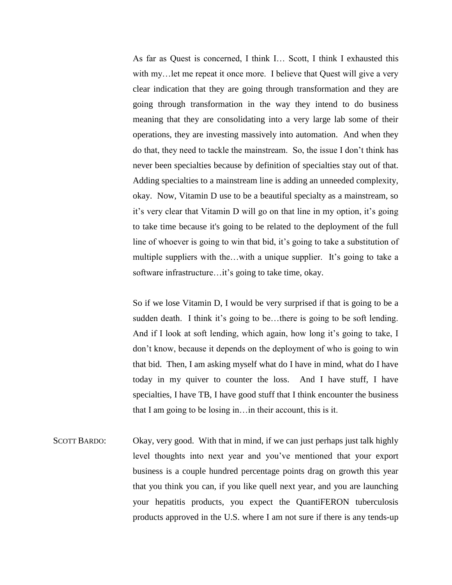As far as Quest is concerned, I think I… Scott, I think I exhausted this with my... let me repeat it once more. I believe that Quest will give a very clear indication that they are going through transformation and they are going through transformation in the way they intend to do business meaning that they are consolidating into a very large lab some of their operations, they are investing massively into automation. And when they do that, they need to tackle the mainstream. So, the issue I don't think has never been specialties because by definition of specialties stay out of that. Adding specialties to a mainstream line is adding an unneeded complexity, okay. Now, Vitamin D use to be a beautiful specialty as a mainstream, so it's very clear that Vitamin D will go on that line in my option, it's going to take time because it's going to be related to the deployment of the full line of whoever is going to win that bid, it's going to take a substitution of multiple suppliers with the...with a unique supplier. It's going to take a software infrastructure…it's going to take time, okay.

So if we lose Vitamin D, I would be very surprised if that is going to be a sudden death. I think it's going to be…there is going to be soft lending. And if I look at soft lending, which again, how long it's going to take, I don't know, because it depends on the deployment of who is going to win that bid. Then, I am asking myself what do I have in mind, what do I have today in my quiver to counter the loss. And I have stuff, I have specialties, I have TB, I have good stuff that I think encounter the business that I am going to be losing in…in their account, this is it.

SCOTT BARDO: Okay, very good. With that in mind, if we can just perhaps just talk highly level thoughts into next year and you've mentioned that your export business is a couple hundred percentage points drag on growth this year that you think you can, if you like quell next year, and you are launching your hepatitis products, you expect the QuantiFERON tuberculosis products approved in the U.S. where I am not sure if there is any tends-up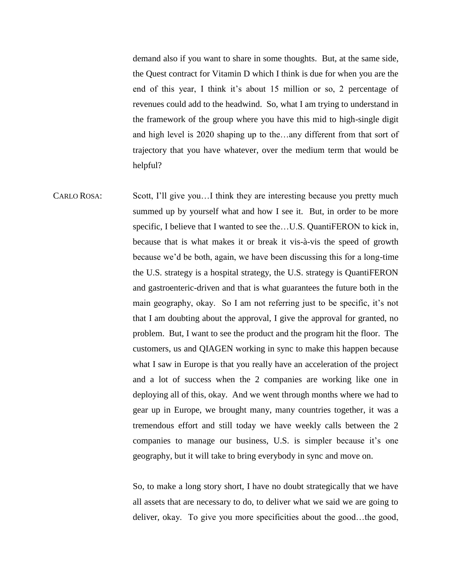demand also if you want to share in some thoughts. But, at the same side, the Quest contract for Vitamin D which I think is due for when you are the end of this year, I think it's about 15 million or so, 2 percentage of revenues could add to the headwind. So, what I am trying to understand in the framework of the group where you have this mid to high-single digit and high level is 2020 shaping up to the…any different from that sort of trajectory that you have whatever, over the medium term that would be helpful?

CARLO ROSA: Scott, I'll give you…I think they are interesting because you pretty much summed up by yourself what and how I see it. But, in order to be more specific, I believe that I wanted to see the...U.S. QuantiFERON to kick in, because that is what makes it or break it vis-à-vis the speed of growth because we'd be both, again, we have been discussing this for a long-time the U.S. strategy is a hospital strategy, the U.S. strategy is QuantiFERON and gastroenteric-driven and that is what guarantees the future both in the main geography, okay. So I am not referring just to be specific, it's not that I am doubting about the approval, I give the approval for granted, no problem. But, I want to see the product and the program hit the floor. The customers, us and QIAGEN working in sync to make this happen because what I saw in Europe is that you really have an acceleration of the project and a lot of success when the 2 companies are working like one in deploying all of this, okay. And we went through months where we had to gear up in Europe, we brought many, many countries together, it was a tremendous effort and still today we have weekly calls between the 2 companies to manage our business, U.S. is simpler because it's one geography, but it will take to bring everybody in sync and move on.

> So, to make a long story short, I have no doubt strategically that we have all assets that are necessary to do, to deliver what we said we are going to deliver, okay. To give you more specificities about the good…the good,